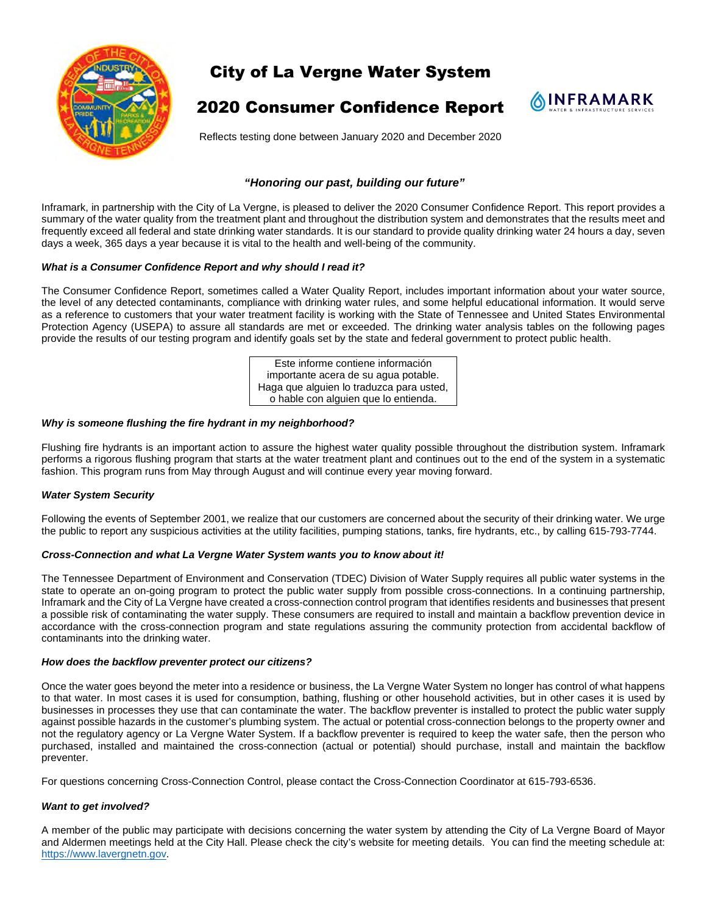

# City of La Vergne Water System

## 2020 Consumer Confidence Report



Reflects testing done between January 2020 and December 2020

## *"Honoring our past, building our future"*

Inframark, in partnership with the City of La Vergne, is pleased to deliver the 2020 Consumer Confidence Report. This report provides a summary of the water quality from the treatment plant and throughout the distribution system and demonstrates that the results meet and frequently exceed all federal and state drinking water standards. It is our standard to provide quality drinking water 24 hours a day, seven days a week, 365 days a year because it is vital to the health and well-being of the community.

## *What is a Consumer Confidence Report and why should I read it?*

The Consumer Confidence Report, sometimes called a Water Quality Report, includes important information about your water source, the level of any detected contaminants, compliance with drinking water rules, and some helpful educational information. It would serve as a reference to customers that your water treatment facility is working with the State of Tennessee and United States Environmental Protection Agency (USEPA) to assure all standards are met or exceeded. The drinking water analysis tables on the following pages provide the results of our testing program and identify goals set by the state and federal government to protect public health.

> Este informe contiene información importante acera de su agua potable. Haga que alguien lo traduzca para usted, o hable con alguien que lo entienda.

## *Why is someone flushing the fire hydrant in my neighborhood?*

Flushing fire hydrants is an important action to assure the highest water quality possible throughout the distribution system. Inframark performs a rigorous flushing program that starts at the water treatment plant and continues out to the end of the system in a systematic fashion. This program runs from May through August and will continue every year moving forward.

## *Water System Security*

Following the events of September 2001, we realize that our customers are concerned about the security of their drinking water. We urge the public to report any suspicious activities at the utility facilities, pumping stations, tanks, fire hydrants, etc., by calling 615-793-7744.

#### *Cross-Connection and what La Vergne Water System wants you to know about it!*

The Tennessee Department of Environment and Conservation (TDEC) Division of Water Supply requires all public water systems in the state to operate an on-going program to protect the public water supply from possible cross-connections. In a continuing partnership, Inframark and the City of La Vergne have created a cross-connection control program that identifies residents and businesses that present a possible risk of contaminating the water supply. These consumers are required to install and maintain a backflow prevention device in accordance with the cross-connection program and state regulations assuring the community protection from accidental backflow of contaminants into the drinking water.

#### *How does the backflow preventer protect our citizens?*

Once the water goes beyond the meter into a residence or business, the La Vergne Water System no longer has control of what happens to that water. In most cases it is used for consumption, bathing, flushing or other household activities, but in other cases it is used by businesses in processes they use that can contaminate the water. The backflow preventer is installed to protect the public water supply against possible hazards in the customer's plumbing system. The actual or potential cross-connection belongs to the property owner and not the regulatory agency or La Vergne Water System. If a backflow preventer is required to keep the water safe, then the person who purchased, installed and maintained the cross-connection (actual or potential) should purchase, install and maintain the backflow preventer.

For questions concerning Cross-Connection Control, please contact the Cross-Connection Coordinator at 615-793-6536.

## *Want to get involved?*

A member of the public may participate with decisions concerning the water system by attending the City of La Vergne Board of Mayor and Aldermen meetings held at the City Hall. Please check the city's website for meeting details. You can find the meeting schedule at: https://www.lavergnetn.gov.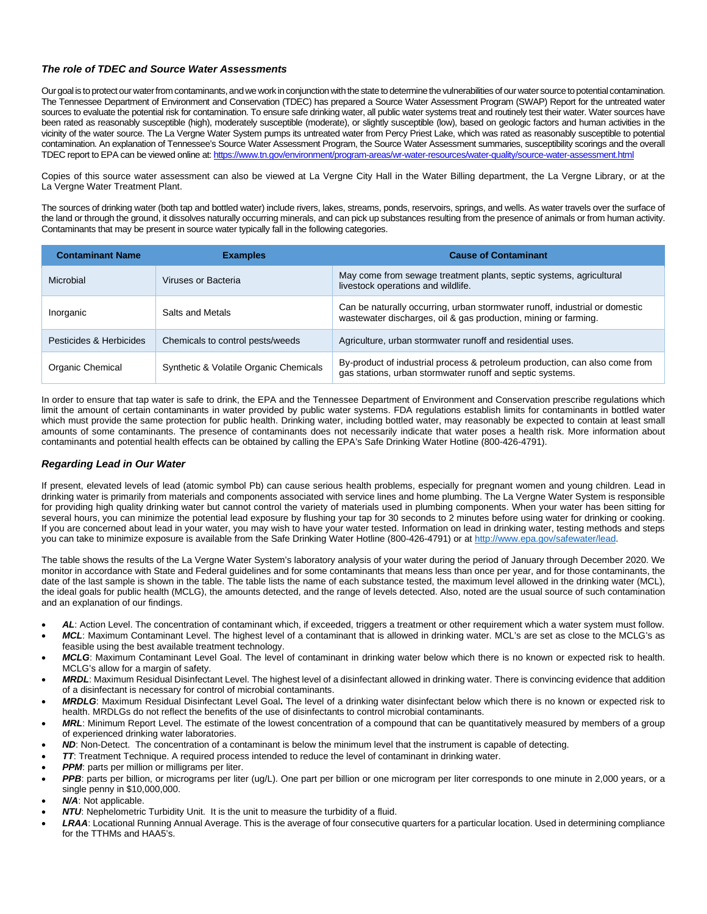## *The role of TDEC and Source Water Assessments*

Our goal is to protect our water from contaminants, and we work in conjunction with the state to determine the vulnerabilities of our water source to potential contamination. The Tennessee Department of Environment and Conservation (TDEC) has prepared a Source Water Assessment Program (SWAP) Report for the untreated water sources to evaluate the potential risk for contamination. To ensure safe drinking water, all public water systems treat and routinely test their water. Water sources have been rated as reasonably susceptible (high), moderately susceptible (moderate), or slightly susceptible (low), based on geologic factors and human activities in the vicinity of the water source. The La Vergne Water System pumps its untreated water from Percy Priest Lake, which was rated as reasonably susceptible to potential contamination. An explanation of Tennessee's Source Water Assessment Program, the Source Water Assessment summaries, susceptibility scorings and the overall TDEC report to EPA can be viewed online at: https://www.tn.gov/environment/program-areas/wr-water-resources/water-quality/source-water-assessment.html

Copies of this source water assessment can also be viewed at La Vergne City Hall in the Water Billing department, the La Vergne Library, or at the La Vergne Water Treatment Plant.

The sources of drinking water (both tap and bottled water) include rivers, lakes, streams, ponds, reservoirs, springs, and wells. As water travels over the surface of the land or through the ground, it dissolves naturally occurring minerals, and can pick up substances resulting from the presence of animals or from human activity. Contaminants that may be present in source water typically fall in the following categories.

| <b>Contaminant Name</b> | <b>Examples</b>                        | <b>Cause of Contaminant</b>                                                                                                                    |  |  |
|-------------------------|----------------------------------------|------------------------------------------------------------------------------------------------------------------------------------------------|--|--|
| Microbial               | Viruses or Bacteria                    | May come from sewage treatment plants, septic systems, agricultural<br>livestock operations and wildlife.                                      |  |  |
| Inorganic               | Salts and Metals                       | Can be naturally occurring, urban stormwater runoff, industrial or domestic<br>wastewater discharges, oil & gas production, mining or farming. |  |  |
| Pesticides & Herbicides | Chemicals to control pests/weeds       | Agriculture, urban stormwater runoff and residential uses.                                                                                     |  |  |
| Organic Chemical        | Synthetic & Volatile Organic Chemicals | By-product of industrial process & petroleum production, can also come from<br>gas stations, urban stormwater runoff and septic systems.       |  |  |

In order to ensure that tap water is safe to drink, the EPA and the Tennessee Department of Environment and Conservation prescribe regulations which limit the amount of certain contaminants in water provided by public water systems. FDA regulations establish limits for contaminants in bottled water which must provide the same protection for public health. Drinking water, including bottled water, may reasonably be expected to contain at least small amounts of some contaminants. The presence of contaminants does not necessarily indicate that water poses a health risk. More information about contaminants and potential health effects can be obtained by calling the EPA's Safe Drinking Water Hotline (800-426-4791).

## *Regarding Lead in Our Water*

If present, elevated levels of lead (atomic symbol Pb) can cause serious health problems, especially for pregnant women and young children. Lead in drinking water is primarily from materials and components associated with service lines and home plumbing. The La Vergne Water System is responsible for providing high quality drinking water but cannot control the variety of materials used in plumbing components. When your water has been sitting for several hours, you can minimize the potential lead exposure by flushing your tap for 30 seconds to 2 minutes before using water for drinking or cooking. If you are concerned about lead in your water, you may wish to have your water tested. Information on lead in drinking water, testing methods and steps you can take to minimize exposure is available from the Safe Drinking Water Hotline (800-426-4791) or at http://www.epa.gov/safewater/lead.

The table shows the results of the La Vergne Water System's laboratory analysis of your water during the period of January through December 2020. We monitor in accordance with State and Federal guidelines and for some contaminants that means less than once per year, and for those contaminants, the date of the last sample is shown in the table. The table lists the name of each substance tested, the maximum level allowed in the drinking water (MCL), the ideal goals for public health (MCLG), the amounts detected, and the range of levels detected. Also, noted are the usual source of such contamination and an explanation of our findings.

- *AL*: Action Level. The concentration of contaminant which, if exceeded, triggers a treatment or other requirement which a water system must follow.
- *MCL*: Maximum Contaminant Level. The highest level of a contaminant that is allowed in drinking water. MCL's are set as close to the MCLG's as feasible using the best available treatment technology.
- *MCLG*: Maximum Contaminant Level Goal. The level of contaminant in drinking water below which there is no known or expected risk to health. MCLG's allow for a margin of safety.
- *MRDL*: Maximum Residual Disinfectant Level. The highest level of a disinfectant allowed in drinking water. There is convincing evidence that addition of a disinfectant is necessary for control of microbial contaminants.
- *MRDLG*: Maximum Residual Disinfectant Level Goal**.** The level of a drinking water disinfectant below which there is no known or expected risk to health. MRDLGs do not reflect the benefits of the use of disinfectants to control microbial contaminants.
- *MRL*: Minimum Report Level. The estimate of the lowest concentration of a compound that can be quantitatively measured by members of a group of experienced drinking water laboratories.
- *ND*: Non-Detect. The concentration of a contaminant is below the minimum level that the instrument is capable of detecting.
- *TT*: Treatment Technique. A required process intended to reduce the level of contaminant in drinking water.
- **PPM:** parts per million or milligrams per liter.
- *PPB*: parts per billion, or micrograms per liter (ug/L). One part per billion or one microgram per liter corresponds to one minute in 2,000 years, or a single penny in \$10,000,000.
- *N/A*: Not applicable.
- *NTU*: Nephelometric Turbidity Unit. It is the unit to measure the turbidity of a fluid.
- *LRAA*: Locational Running Annual Average. This is the average of four consecutive quarters for a particular location. Used in determining compliance for the TTHMs and HAA5's.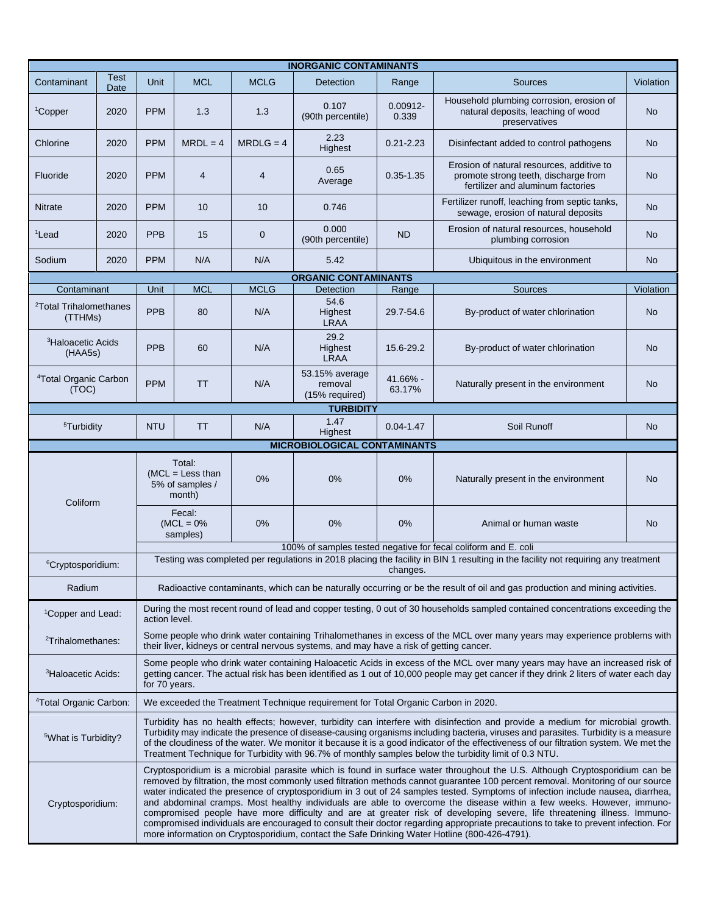| <b>INORGANIC CONTAMINANTS</b>                                                                                                                                                                                                                                                                                          |                                                                                                                                                                                                                                                                                                                                                                                                                                                                                                                                                                                                                                                                                                                                                                                                                                                                                                               |                                                                                                                                                                                                                                                                                                                                                                                                                                                                                                                         |                                                           |                |                                             |                      |                                                                                                                        |           |  |  |
|------------------------------------------------------------------------------------------------------------------------------------------------------------------------------------------------------------------------------------------------------------------------------------------------------------------------|---------------------------------------------------------------------------------------------------------------------------------------------------------------------------------------------------------------------------------------------------------------------------------------------------------------------------------------------------------------------------------------------------------------------------------------------------------------------------------------------------------------------------------------------------------------------------------------------------------------------------------------------------------------------------------------------------------------------------------------------------------------------------------------------------------------------------------------------------------------------------------------------------------------|-------------------------------------------------------------------------------------------------------------------------------------------------------------------------------------------------------------------------------------------------------------------------------------------------------------------------------------------------------------------------------------------------------------------------------------------------------------------------------------------------------------------------|-----------------------------------------------------------|----------------|---------------------------------------------|----------------------|------------------------------------------------------------------------------------------------------------------------|-----------|--|--|
| Contaminant                                                                                                                                                                                                                                                                                                            | <b>Test</b><br>Date                                                                                                                                                                                                                                                                                                                                                                                                                                                                                                                                                                                                                                                                                                                                                                                                                                                                                           | <b>Unit</b>                                                                                                                                                                                                                                                                                                                                                                                                                                                                                                             | <b>MCL</b>                                                | <b>MCLG</b>    | Detection                                   | Range                | Sources                                                                                                                | Violation |  |  |
| <sup>1</sup> Copper                                                                                                                                                                                                                                                                                                    | 2020                                                                                                                                                                                                                                                                                                                                                                                                                                                                                                                                                                                                                                                                                                                                                                                                                                                                                                          | <b>PPM</b>                                                                                                                                                                                                                                                                                                                                                                                                                                                                                                              | 1.3                                                       | 1.3            | 0.107<br>(90th percentile)                  | $0.00912 -$<br>0.339 | Household plumbing corrosion, erosion of<br>natural deposits, leaching of wood<br>preservatives                        | <b>No</b> |  |  |
| Chlorine                                                                                                                                                                                                                                                                                                               | 2020                                                                                                                                                                                                                                                                                                                                                                                                                                                                                                                                                                                                                                                                                                                                                                                                                                                                                                          | <b>PPM</b>                                                                                                                                                                                                                                                                                                                                                                                                                                                                                                              | $MRDL = 4$                                                | $MRDLG = 4$    | 2.23<br>Highest                             | $0.21 - 2.23$        | Disinfectant added to control pathogens                                                                                | <b>No</b> |  |  |
| Fluoride                                                                                                                                                                                                                                                                                                               | 2020                                                                                                                                                                                                                                                                                                                                                                                                                                                                                                                                                                                                                                                                                                                                                                                                                                                                                                          | <b>PPM</b>                                                                                                                                                                                                                                                                                                                                                                                                                                                                                                              | $\overline{4}$                                            | $\overline{4}$ | 0.65<br>Average                             | $0.35 - 1.35$        | Erosion of natural resources, additive to<br>promote strong teeth, discharge from<br>fertilizer and aluminum factories | <b>No</b> |  |  |
| <b>Nitrate</b>                                                                                                                                                                                                                                                                                                         | 2020                                                                                                                                                                                                                                                                                                                                                                                                                                                                                                                                                                                                                                                                                                                                                                                                                                                                                                          | <b>PPM</b>                                                                                                                                                                                                                                                                                                                                                                                                                                                                                                              | 10 <sup>1</sup>                                           | 10             | 0.746                                       |                      | Fertilizer runoff, leaching from septic tanks,<br>sewage, erosion of natural deposits                                  | <b>No</b> |  |  |
| <sup>1</sup> Lead                                                                                                                                                                                                                                                                                                      | 2020                                                                                                                                                                                                                                                                                                                                                                                                                                                                                                                                                                                                                                                                                                                                                                                                                                                                                                          | <b>PPB</b>                                                                                                                                                                                                                                                                                                                                                                                                                                                                                                              | 15                                                        | $\mathbf 0$    | 0.000<br>(90th percentile)                  | <b>ND</b>            | Erosion of natural resources, household<br>plumbing corrosion                                                          | <b>No</b> |  |  |
| Sodium                                                                                                                                                                                                                                                                                                                 | 2020                                                                                                                                                                                                                                                                                                                                                                                                                                                                                                                                                                                                                                                                                                                                                                                                                                                                                                          | <b>PPM</b>                                                                                                                                                                                                                                                                                                                                                                                                                                                                                                              | N/A                                                       | N/A            | 5.42                                        |                      | Ubiquitous in the environment                                                                                          | No        |  |  |
| <b>ORGANIC CONTAMINANTS</b>                                                                                                                                                                                                                                                                                            |                                                                                                                                                                                                                                                                                                                                                                                                                                                                                                                                                                                                                                                                                                                                                                                                                                                                                                               |                                                                                                                                                                                                                                                                                                                                                                                                                                                                                                                         |                                                           |                |                                             |                      |                                                                                                                        |           |  |  |
| Contaminant                                                                                                                                                                                                                                                                                                            |                                                                                                                                                                                                                                                                                                                                                                                                                                                                                                                                                                                                                                                                                                                                                                                                                                                                                                               | Unit                                                                                                                                                                                                                                                                                                                                                                                                                                                                                                                    | <b>MCL</b>                                                | <b>MCLG</b>    | Detection                                   | Range                | Sources                                                                                                                | Violation |  |  |
| <sup>2</sup> Total Trihalomethanes<br>(TTHMs)                                                                                                                                                                                                                                                                          |                                                                                                                                                                                                                                                                                                                                                                                                                                                                                                                                                                                                                                                                                                                                                                                                                                                                                                               | <b>PPB</b>                                                                                                                                                                                                                                                                                                                                                                                                                                                                                                              | 80                                                        | N/A            | 54.6<br>Highest<br><b>LRAA</b>              | 29.7-54.6            | By-product of water chlorination                                                                                       | <b>No</b> |  |  |
| <sup>3</sup> Haloacetic Acids<br>(HAA5s)                                                                                                                                                                                                                                                                               |                                                                                                                                                                                                                                                                                                                                                                                                                                                                                                                                                                                                                                                                                                                                                                                                                                                                                                               | PPB                                                                                                                                                                                                                                                                                                                                                                                                                                                                                                                     | 60                                                        | N/A            | 29.2<br>Highest<br><b>LRAA</b>              | 15.6-29.2            | By-product of water chlorination                                                                                       | No        |  |  |
| <sup>4</sup> Total Organic Carbon<br>(TOC)                                                                                                                                                                                                                                                                             |                                                                                                                                                                                                                                                                                                                                                                                                                                                                                                                                                                                                                                                                                                                                                                                                                                                                                                               | <b>PPM</b>                                                                                                                                                                                                                                                                                                                                                                                                                                                                                                              | <b>TT</b>                                                 | N/A            | 53.15% average<br>removal<br>(15% required) | 41.66% -<br>63.17%   | Naturally present in the environment                                                                                   | No        |  |  |
|                                                                                                                                                                                                                                                                                                                        |                                                                                                                                                                                                                                                                                                                                                                                                                                                                                                                                                                                                                                                                                                                                                                                                                                                                                                               |                                                                                                                                                                                                                                                                                                                                                                                                                                                                                                                         |                                                           |                | <b>TURBIDITY</b>                            |                      |                                                                                                                        |           |  |  |
| <sup>5</sup> Turbidity                                                                                                                                                                                                                                                                                                 |                                                                                                                                                                                                                                                                                                                                                                                                                                                                                                                                                                                                                                                                                                                                                                                                                                                                                                               | <b>NTU</b>                                                                                                                                                                                                                                                                                                                                                                                                                                                                                                              | <b>TT</b>                                                 | N/A            | 1.47<br>Highest                             | $0.04 - 1.47$        | Soil Runoff                                                                                                            | <b>No</b> |  |  |
|                                                                                                                                                                                                                                                                                                                        |                                                                                                                                                                                                                                                                                                                                                                                                                                                                                                                                                                                                                                                                                                                                                                                                                                                                                                               |                                                                                                                                                                                                                                                                                                                                                                                                                                                                                                                         |                                                           |                | <b>MICROBIOLOGICAL CONTAMINANTS</b>         |                      |                                                                                                                        |           |  |  |
| Coliform                                                                                                                                                                                                                                                                                                               |                                                                                                                                                                                                                                                                                                                                                                                                                                                                                                                                                                                                                                                                                                                                                                                                                                                                                                               |                                                                                                                                                                                                                                                                                                                                                                                                                                                                                                                         | Total:<br>$(MCL = Less than$<br>5% of samples /<br>month) | 0%             | 0%                                          | 0%                   | Naturally present in the environment                                                                                   | <b>No</b> |  |  |
|                                                                                                                                                                                                                                                                                                                        |                                                                                                                                                                                                                                                                                                                                                                                                                                                                                                                                                                                                                                                                                                                                                                                                                                                                                                               |                                                                                                                                                                                                                                                                                                                                                                                                                                                                                                                         | Fecal:<br>$(MCL = 0\%$<br>samples)                        | 0%             | 0%                                          | 0%                   | Animal or human waste                                                                                                  | <b>No</b> |  |  |
| 100% of samples tested negative for fecal coliform and E. coli                                                                                                                                                                                                                                                         |                                                                                                                                                                                                                                                                                                                                                                                                                                                                                                                                                                                                                                                                                                                                                                                                                                                                                                               |                                                                                                                                                                                                                                                                                                                                                                                                                                                                                                                         |                                                           |                |                                             |                      |                                                                                                                        |           |  |  |
| Testing was completed per regulations in 2018 placing the facility in BIN 1 resulting in the facility not requiring any treatment<br><sup>6</sup> Cryptosporidium:<br>changes.                                                                                                                                         |                                                                                                                                                                                                                                                                                                                                                                                                                                                                                                                                                                                                                                                                                                                                                                                                                                                                                                               |                                                                                                                                                                                                                                                                                                                                                                                                                                                                                                                         |                                                           |                |                                             |                      |                                                                                                                        |           |  |  |
| Radium                                                                                                                                                                                                                                                                                                                 |                                                                                                                                                                                                                                                                                                                                                                                                                                                                                                                                                                                                                                                                                                                                                                                                                                                                                                               | Radioactive contaminants, which can be naturally occurring or be the result of oil and gas production and mining activities.                                                                                                                                                                                                                                                                                                                                                                                            |                                                           |                |                                             |                      |                                                                                                                        |           |  |  |
|                                                                                                                                                                                                                                                                                                                        | During the most recent round of lead and copper testing, 0 out of 30 households sampled contained concentrations exceeding the<br><sup>1</sup> Copper and Lead:<br>action level.                                                                                                                                                                                                                                                                                                                                                                                                                                                                                                                                                                                                                                                                                                                              |                                                                                                                                                                                                                                                                                                                                                                                                                                                                                                                         |                                                           |                |                                             |                      |                                                                                                                        |           |  |  |
|                                                                                                                                                                                                                                                                                                                        | Some people who drink water containing Trihalomethanes in excess of the MCL over many years may experience problems with<br><sup>2</sup> Trihalomethanes:<br>their liver, kidneys or central nervous systems, and may have a risk of getting cancer.                                                                                                                                                                                                                                                                                                                                                                                                                                                                                                                                                                                                                                                          |                                                                                                                                                                                                                                                                                                                                                                                                                                                                                                                         |                                                           |                |                                             |                      |                                                                                                                        |           |  |  |
| Some people who drink water containing Haloacetic Acids in excess of the MCL over many years may have an increased risk of<br><sup>3</sup> Haloacetic Acids:<br>getting cancer. The actual risk has been identified as 1 out of 10,000 people may get cancer if they drink 2 liters of water each day<br>for 70 years. |                                                                                                                                                                                                                                                                                                                                                                                                                                                                                                                                                                                                                                                                                                                                                                                                                                                                                                               |                                                                                                                                                                                                                                                                                                                                                                                                                                                                                                                         |                                                           |                |                                             |                      |                                                                                                                        |           |  |  |
| <sup>4</sup> Total Organic Carbon:                                                                                                                                                                                                                                                                                     |                                                                                                                                                                                                                                                                                                                                                                                                                                                                                                                                                                                                                                                                                                                                                                                                                                                                                                               | We exceeded the Treatment Technique requirement for Total Organic Carbon in 2020.                                                                                                                                                                                                                                                                                                                                                                                                                                       |                                                           |                |                                             |                      |                                                                                                                        |           |  |  |
| <sup>5</sup> What is Turbidity?                                                                                                                                                                                                                                                                                        |                                                                                                                                                                                                                                                                                                                                                                                                                                                                                                                                                                                                                                                                                                                                                                                                                                                                                                               | Turbidity has no health effects; however, turbidity can interfere with disinfection and provide a medium for microbial growth.<br>Turbidity may indicate the presence of disease-causing organisms including bacteria, viruses and parasites. Turbidity is a measure<br>of the cloudiness of the water. We monitor it because it is a good indicator of the effectiveness of our filtration system. We met the<br>Treatment Technique for Turbidity with 96.7% of monthly samples below the turbidity limit of 0.3 NTU. |                                                           |                |                                             |                      |                                                                                                                        |           |  |  |
|                                                                                                                                                                                                                                                                                                                        | Cryptosporidium is a microbial parasite which is found in surface water throughout the U.S. Although Cryptosporidium can be<br>removed by filtration, the most commonly used filtration methods cannot guarantee 100 percent removal. Monitoring of our source<br>water indicated the presence of cryptosporidium in 3 out of 24 samples tested. Symptoms of infection include nausea, diarrhea,<br>and abdominal cramps. Most healthy individuals are able to overcome the disease within a few weeks. However, immuno-<br>Cryptosporidium:<br>compromised people have more difficulty and are at greater risk of developing severe, life threatening illness. Immuno-<br>compromised individuals are encouraged to consult their doctor regarding appropriate precautions to take to prevent infection. For<br>more information on Cryptosporidium, contact the Safe Drinking Water Hotline (800-426-4791). |                                                                                                                                                                                                                                                                                                                                                                                                                                                                                                                         |                                                           |                |                                             |                      |                                                                                                                        |           |  |  |